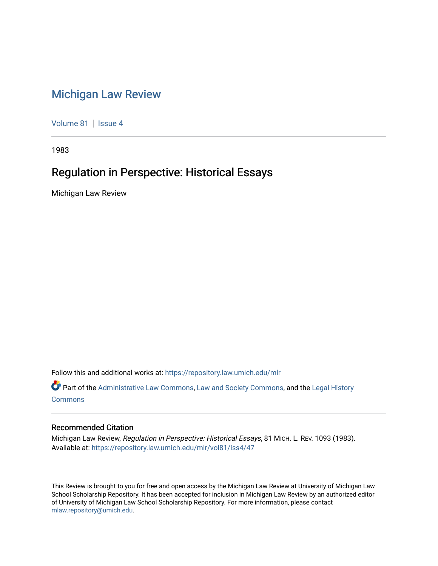## [Michigan Law Review](https://repository.law.umich.edu/mlr)

[Volume 81](https://repository.law.umich.edu/mlr/vol81) | [Issue 4](https://repository.law.umich.edu/mlr/vol81/iss4)

1983

## Regulation in Perspective: Historical Essays

Michigan Law Review

Follow this and additional works at: [https://repository.law.umich.edu/mlr](https://repository.law.umich.edu/mlr?utm_source=repository.law.umich.edu%2Fmlr%2Fvol81%2Fiss4%2F47&utm_medium=PDF&utm_campaign=PDFCoverPages) 

Part of the [Administrative Law Commons,](http://network.bepress.com/hgg/discipline/579?utm_source=repository.law.umich.edu%2Fmlr%2Fvol81%2Fiss4%2F47&utm_medium=PDF&utm_campaign=PDFCoverPages) [Law and Society Commons](http://network.bepress.com/hgg/discipline/853?utm_source=repository.law.umich.edu%2Fmlr%2Fvol81%2Fiss4%2F47&utm_medium=PDF&utm_campaign=PDFCoverPages), and the Legal History **[Commons](http://network.bepress.com/hgg/discipline/904?utm_source=repository.law.umich.edu%2Fmlr%2Fvol81%2Fiss4%2F47&utm_medium=PDF&utm_campaign=PDFCoverPages)** 

## Recommended Citation

Michigan Law Review, Regulation in Perspective: Historical Essays, 81 MICH. L. REV. 1093 (1983). Available at: [https://repository.law.umich.edu/mlr/vol81/iss4/47](https://repository.law.umich.edu/mlr/vol81/iss4/47?utm_source=repository.law.umich.edu%2Fmlr%2Fvol81%2Fiss4%2F47&utm_medium=PDF&utm_campaign=PDFCoverPages) 

This Review is brought to you for free and open access by the Michigan Law Review at University of Michigan Law School Scholarship Repository. It has been accepted for inclusion in Michigan Law Review by an authorized editor of University of Michigan Law School Scholarship Repository. For more information, please contact [mlaw.repository@umich.edu.](mailto:mlaw.repository@umich.edu)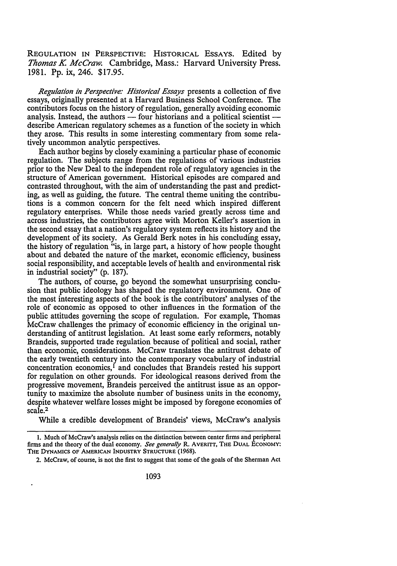REGULATION IN PERSPECTIVE: HISTORICAL ESSAYS. Edited by *Thomas K McCraw.* Cambridge, Mass.: Harvard University Press. 1981. Pp. ix, 246. \$17.95.

*Regulation in Perspective: Historical Essays* presents a collection of five essays, originally presented at a Harvard Business School Conference. The contributors focus on the history of regulation, generally avoiding economic analysis. Instead, the authors  $-$  four historians and a political scientist  $$ describe American regulatory schemes as a function of the society in which they arose. This results in some interesting commentary from some relatively uncommon analytic perspectives.

Each author begins by closely examining a particular phase of economic regulation. The subjects range from the regulations of various industries prior to the New Deal to the independent role of regulatory agencies in the structure of American government. Historical episodes are compared and contrasted throughout, with the aim of understanding the past and predicting, as well as guiding, the future. The central theme uniting the contributions is a common concern for the felt need which inspired different regulatory enterprises. While those needs varied greatly across time and across industries, the contributors agree with Morton Keller's assertion in the second essay that a nation's regulatory system reflects its history and the development of its society. As Gerald Berk notes in his concluding essay, the history of regulation "is, in large part, a history of how people thought about and debated the nature of the market, economic efficiency, business social responsibility, and acceptable levels of health and environmental risk in industrial society" (p. 187).

The authors, of course, go beyond the somewhat unsurprising conclusion that public ideology has shaped the regulatory environment. One of the most interesting aspects of the book is the contributors' analyses of the role of economic as opposed to other influences in the formation of the public attitudes governing the scope of regulation. For example, Thomas Mccraw challenges the primacy of economic efficiency in the original understanding of antitrust legislation. At least some early reformers, notably Brandeis, supported trade regulation because of political and social, rather than economic, considerations. McCraw translates the antitrust debate of the early twentieth century into the contemporary vocabulary of industrial concentration economics, 1 and concludes that Brandeis rested his support for regulation on other grounds. For ideological reasons derived from the progressive movement, Brandeis perceived the antitrust issue as an opportunity to maximize the absolute number of business units in the economy, despite whatever welfare losses might be imposed by foregone economies of scale.<sup>2</sup>

While a credible development of Brandeis' views, McCraw's analysis

<sup>1.</sup> Much of McCraw's analysis relies on the distinction between center firms and peripheral firms and the theory of the dual economy. *See generally* R. AVERITT, THE DUAL ECONOMY: THE DYNAMICS OF AMERICAN INDUSTRY STRUCTURE (1968).

<sup>2.</sup> McCraw, of course, is not the first to suggest that some of the goals of the Sherman Act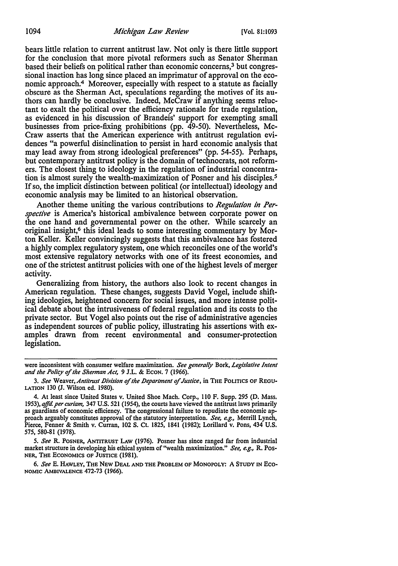bears little relation to current antitrust law. Not only is there little support for the conclusion that more pivotal reformers such as Senator Sherman based their beliefs on political rather than economic concems,3 but congressional inaction has long since placed an imprimatur of approval on the economic approach.4 Moreover, especially with respect to a statute as facially obscure as the Sherman Act, speculations regarding the motives of its authors can hardly be conclusive. Indeed, Mccraw if anything seems reluctant to exalt the political over the efficiency rationale for trade regulation, as evidenced in his discussion of Brandeis' support for exempting small businesses from price-fixing prohibitions (pp. 49-50). Nevertheless, Mc-Craw asserts that the American experience with antitrust regulation evidences "a powerful disinclination to persist in hard economic analysis that may lead away from strong ideological preferences" (pp. 54-55). Perhaps, but contemporary antitrust policy is the domain of technocrats, not reformers. The closest thing to ideology in the regulation of industrial concentration is almost surely the wealth-maximization of Posner and his disciples.<sup>5</sup> Ifso, the implicit distinction between political (or intellectual) ideology and economic analysis may be limited to an historical observation.

Another theme uniting the various contributions to *Regulation in Perspective* is America's historical ambivalence between corporate power on the one hand and governmental power on the other. While scarcely an original insight,6 this ideal leads to some interesting commentary by Morton Keller. Keller convincingly suggests that this ambivalence has fostered a highly complex regulatory system, one which reconciles one of the world's most extensive regulatory networks with one of its freest economies, and one of the strictest antitrust policies with one of the highest levels of merger activity.

Generalizing from history, the authors also look to recent changes in American regulation. These changes, suggests David Vogel, include shifting ideologies, heightened concern for social issues, and more intense political debate about the intrusiveness of federal regulation and its costs to the private sector. But Vogel also points out the rise of administrative agencies as independent sources of public policy, illustrating his assertions with examples drawn from recent environmental and consumer-protection legislation.

6. *See* E. HAWLEY, THE NEW DEAL AND THE PROBLEM OF MONOPOLY: A STUDY IN Eco-NOMIC AMBIVALENCE 472-73 (1966).

were inconsistent with consumer welfare maximization. *See generally* Bork, *Legislative Intent and the Policy of the Sherman Act,* 9 J.L. & EcoN. 7 (1966).

<sup>3.</sup> *See Weaver,Antitrust Division of the Department of Justice,* in THE POLITICS OF REOU• LATION 130 (J. Wilson ed. 1980).

<sup>4.</sup> At least since United States v. United Shoe Mach. Corp., 110 F. Supp. 295 (D. Mass. 1953), *ajfd. per curiam,* 347 U.S. 521 (1954), the courts have viewed the antitrust laws primarily as guardians of economic efficiency. The congressional failure to repudiate the economic approach arguably constitutes approval of the statutory interpretation. *See, e.g.,* Merrill Lynch, Pierce, Fenner & Smith v. Curran, 102 S. Ct. 1825, 1841 (1982); Lorillard v. Pons, 434 U.S. 575, 580-81 (1978).

<sup>5.</sup> *See* R. POSNER, ANTITRUST LAW (1976). Posner has since ranged far from industrial market structure in developing his ethical system of ''wealth maximization." *See, e.g.,* R. Pos-NER, THE ECONOMICS OF JUSTICE (1981).